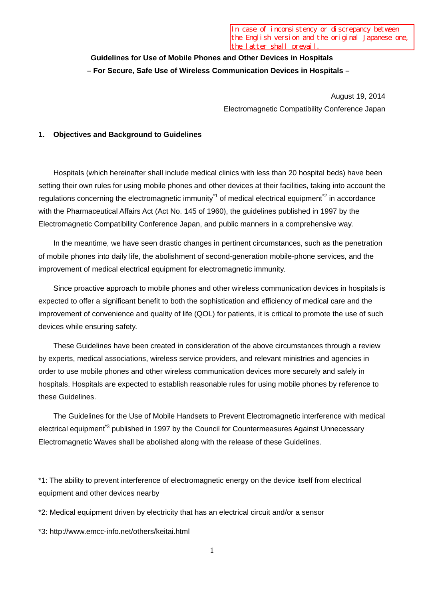## **Guidelines for Use of Mobile Phones and Other Devices in Hospitals – For Secure, Safe Use of Wireless Communication Devices in Hospitals –**

August 19, 2014 Electromagnetic Compatibility Conference Japan

#### **1. Objectives and Background to Guidelines**

Hospitals (which hereinafter shall include medical clinics with less than 20 hospital beds) have been setting their own rules for using mobile phones and other devices at their facilities, taking into account the regulations concerning the electromagnetic immunity<sup> $1$ </sup> of medical electrical equipment<sup> $2$ </sup> in accordance with the Pharmaceutical Affairs Act (Act No. 145 of 1960), the guidelines published in 1997 by the Electromagnetic Compatibility Conference Japan, and public manners in a comprehensive way.

In the meantime, we have seen drastic changes in pertinent circumstances, such as the penetration of mobile phones into daily life, the abolishment of second-generation mobile-phone services, and the improvement of medical electrical equipment for electromagnetic immunity.

Since proactive approach to mobile phones and other wireless communication devices in hospitals is expected to offer a significant benefit to both the sophistication and efficiency of medical care and the improvement of convenience and quality of life (QOL) for patients, it is critical to promote the use of such devices while ensuring safety.

These Guidelines have been created in consideration of the above circumstances through a review by experts, medical associations, wireless service providers, and relevant ministries and agencies in order to use mobile phones and other wireless communication devices more securely and safely in hospitals. Hospitals are expected to establish reasonable rules for using mobile phones by reference to these Guidelines.

The Guidelines for the Use of Mobile Handsets to Prevent Electromagnetic interference with medical electrical equipment<sup>\*3</sup> published in 1997 by the Council for Countermeasures Against Unnecessary Electromagnetic Waves shall be abolished along with the release of these Guidelines.

\*1: The ability to prevent interference of electromagnetic energy on the device itself from electrical equipment and other devices nearby

\*2: Medical equipment driven by electricity that has an electrical circuit and/or a sensor

\*3: http://www.emcc-info.net/others/keitai.html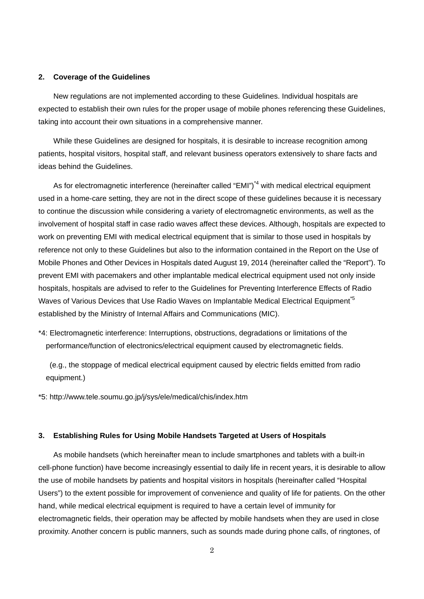#### **2. Coverage of the Guidelines**

New regulations are not implemented according to these Guidelines. Individual hospitals are expected to establish their own rules for the proper usage of mobile phones referencing these Guidelines, taking into account their own situations in a comprehensive manner.

While these Guidelines are designed for hospitals, it is desirable to increase recognition among patients, hospital visitors, hospital staff, and relevant business operators extensively to share facts and ideas behind the Guidelines.

As for electromagnetic interference (hereinafter called "EMI")<sup>\*4</sup> with medical electrical equipment used in a home-care setting, they are not in the direct scope of these guidelines because it is necessary to continue the discussion while considering a variety of electromagnetic environments, as well as the involvement of hospital staff in case radio waves affect these devices. Although, hospitals are expected to work on preventing EMI with medical electrical equipment that is similar to those used in hospitals by reference not only to these Guidelines but also to the information contained in the Report on the Use of Mobile Phones and Other Devices in Hospitals dated August 19, 2014 (hereinafter called the "Report"). To prevent EMI with pacemakers and other implantable medical electrical equipment used not only inside hospitals, hospitals are advised to refer to the Guidelines for Preventing Interference Effects of Radio Waves of Various Devices that Use Radio Waves on Implantable Medical Electrical Equipment<sup>5</sup> established by the Ministry of Internal Affairs and Communications (MIC).

\*4: Electromagnetic interference: Interruptions, obstructions, degradations or limitations of the performance/function of electronics/electrical equipment caused by electromagnetic fields.

(e.g., the stoppage of medical electrical equipment caused by electric fields emitted from radio equipment.)

\*5: http://www.tele.soumu.go.jp/j/sys/ele/medical/chis/index.htm

#### **3. Establishing Rules for Using Mobile Handsets Targeted at Users of Hospitals**

As mobile handsets (which hereinafter mean to include smartphones and tablets with a built-in cell-phone function) have become increasingly essential to daily life in recent years, it is desirable to allow the use of mobile handsets by patients and hospital visitors in hospitals (hereinafter called "Hospital Users") to the extent possible for improvement of convenience and quality of life for patients. On the other hand, while medical electrical equipment is required to have a certain level of immunity for electromagnetic fields, their operation may be affected by mobile handsets when they are used in close proximity. Another concern is public manners, such as sounds made during phone calls, of ringtones, of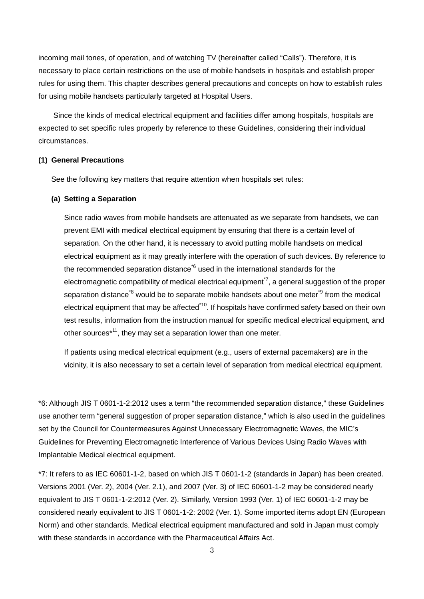incoming mail tones, of operation, and of watching TV (hereinafter called "Calls"). Therefore, it is necessary to place certain restrictions on the use of mobile handsets in hospitals and establish proper rules for using them. This chapter describes general precautions and concepts on how to establish rules for using mobile handsets particularly targeted at Hospital Users.

Since the kinds of medical electrical equipment and facilities differ among hospitals, hospitals are expected to set specific rules properly by reference to these Guidelines, considering their individual circumstances.

#### **(1) General Precautions**

See the following key matters that require attention when hospitals set rules:

#### **(a) Setting a Separation**

Since radio waves from mobile handsets are attenuated as we separate from handsets, we can prevent EMI with medical electrical equipment by ensuring that there is a certain level of separation. On the other hand, it is necessary to avoid putting mobile handsets on medical electrical equipment as it may greatly interfere with the operation of such devices. By reference to the recommended separation distance<sup> $6$ </sup> used in the international standards for the electromagnetic compatibility of medical electrical equipment<sup> $7$ </sup>, a general suggestion of the proper separation distance<sup>\*8</sup> would be to separate mobile handsets about one meter<sup>\*9</sup> from the medical electrical equipment that may be affected<sup>\*10</sup>. If hospitals have confirmed safety based on their own test results, information from the instruction manual for specific medical electrical equipment, and other sources\*11, they may set a separation lower than one meter.

If patients using medical electrical equipment (e.g., users of external pacemakers) are in the vicinity, it is also necessary to set a certain level of separation from medical electrical equipment.

\*6: Although JIS T 0601-1-2:2012 uses a term "the recommended separation distance," these Guidelines use another term "general suggestion of proper separation distance," which is also used in the guidelines set by the Council for Countermeasures Against Unnecessary Electromagnetic Waves, the MIC's Guidelines for Preventing Electromagnetic Interference of Various Devices Using Radio Waves with Implantable Medical electrical equipment.

\*7: It refers to as IEC 60601-1-2, based on which JIS T 0601-1-2 (standards in Japan) has been created. Versions 2001 (Ver. 2), 2004 (Ver. 2.1), and 2007 (Ver. 3) of IEC 60601-1-2 may be considered nearly equivalent to JIS T 0601-1-2:2012 (Ver. 2). Similarly, Version 1993 (Ver. 1) of IEC 60601-1-2 may be considered nearly equivalent to JIS T 0601-1-2: 2002 (Ver. 1). Some imported items adopt EN (European Norm) and other standards. Medical electrical equipment manufactured and sold in Japan must comply with these standards in accordance with the Pharmaceutical Affairs Act.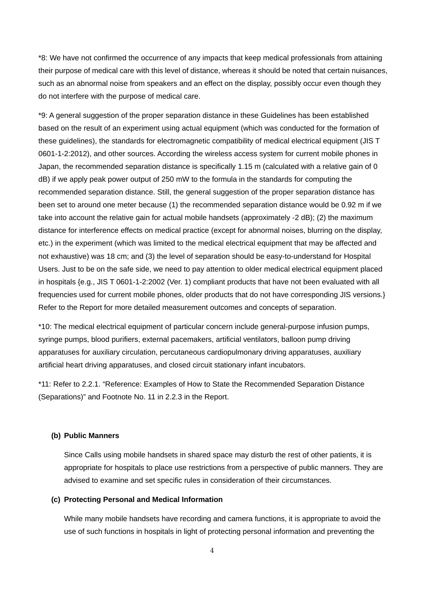\*8: We have not confirmed the occurrence of any impacts that keep medical professionals from attaining their purpose of medical care with this level of distance, whereas it should be noted that certain nuisances, such as an abnormal noise from speakers and an effect on the display, possibly occur even though they do not interfere with the purpose of medical care.

\*9: A general suggestion of the proper separation distance in these Guidelines has been established based on the result of an experiment using actual equipment (which was conducted for the formation of these guidelines), the standards for electromagnetic compatibility of medical electrical equipment (JIS T 0601-1-2:2012), and other sources. According the wireless access system for current mobile phones in Japan, the recommended separation distance is specifically 1.15 m (calculated with a relative gain of 0 dB) if we apply peak power output of 250 mW to the formula in the standards for computing the recommended separation distance. Still, the general suggestion of the proper separation distance has been set to around one meter because (1) the recommended separation distance would be 0.92 m if we take into account the relative gain for actual mobile handsets (approximately -2 dB); (2) the maximum distance for interference effects on medical practice (except for abnormal noises, blurring on the display, etc.) in the experiment (which was limited to the medical electrical equipment that may be affected and not exhaustive) was 18 cm; and (3) the level of separation should be easy-to-understand for Hospital Users. Just to be on the safe side, we need to pay attention to older medical electrical equipment placed in hospitals {e.g., JIS T 0601-1-2:2002 (Ver. 1) compliant products that have not been evaluated with all frequencies used for current mobile phones, older products that do not have corresponding JIS versions.} Refer to the Report for more detailed measurement outcomes and concepts of separation.

\*10: The medical electrical equipment of particular concern include general-purpose infusion pumps, syringe pumps, blood purifiers, external pacemakers, artificial ventilators, balloon pump driving apparatuses for auxiliary circulation, percutaneous cardiopulmonary driving apparatuses, auxiliary artificial heart driving apparatuses, and closed circuit stationary infant incubators.

\*11: Refer to 2.2.1. "Reference: Examples of How to State the Recommended Separation Distance (Separations)" and Footnote No. 11 in 2.2.3 in the Report.

#### **(b) Public Manners**

Since Calls using mobile handsets in shared space may disturb the rest of other patients, it is appropriate for hospitals to place use restrictions from a perspective of public manners. They are advised to examine and set specific rules in consideration of their circumstances.

#### **(c) Protecting Personal and Medical Information**

While many mobile handsets have recording and camera functions, it is appropriate to avoid the use of such functions in hospitals in light of protecting personal information and preventing the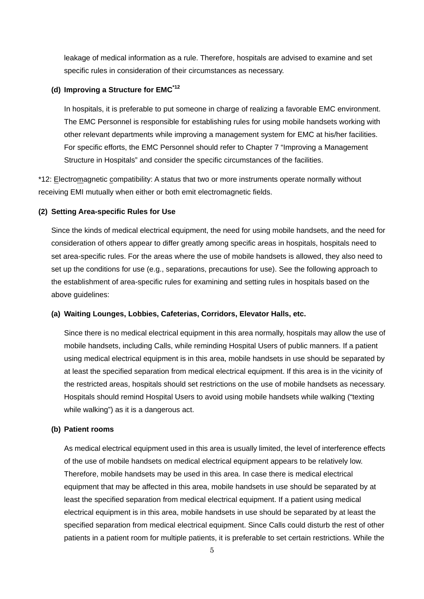leakage of medical information as a rule. Therefore, hospitals are advised to examine and set specific rules in consideration of their circumstances as necessary.

#### **(d) Improving a Structure for EMC\*12**

In hospitals, it is preferable to put someone in charge of realizing a favorable EMC environment. The EMC Personnel is responsible for establishing rules for using mobile handsets working with other relevant departments while improving a management system for EMC at his/her facilities. For specific efforts, the EMC Personnel should refer to Chapter 7 "Improving a Management Structure in Hospitals" and consider the specific circumstances of the facilities.

\*12: Electromagnetic compatibility: A status that two or more instruments operate normally without receiving EMI mutually when either or both emit electromagnetic fields.

#### **(2) Setting Area-specific Rules for Use**

Since the kinds of medical electrical equipment, the need for using mobile handsets, and the need for consideration of others appear to differ greatly among specific areas in hospitals, hospitals need to set area-specific rules. For the areas where the use of mobile handsets is allowed, they also need to set up the conditions for use (e.g., separations, precautions for use). See the following approach to the establishment of area-specific rules for examining and setting rules in hospitals based on the above guidelines:

#### **(a) Waiting Lounges, Lobbies, Cafeterias, Corridors, Elevator Halls, etc.**

Since there is no medical electrical equipment in this area normally, hospitals may allow the use of mobile handsets, including Calls, while reminding Hospital Users of public manners. If a patient using medical electrical equipment is in this area, mobile handsets in use should be separated by at least the specified separation from medical electrical equipment. If this area is in the vicinity of the restricted areas, hospitals should set restrictions on the use of mobile handsets as necessary. Hospitals should remind Hospital Users to avoid using mobile handsets while walking ("texting while walking") as it is a dangerous act.

#### **(b) Patient rooms**

As medical electrical equipment used in this area is usually limited, the level of interference effects of the use of mobile handsets on medical electrical equipment appears to be relatively low. Therefore, mobile handsets may be used in this area. In case there is medical electrical equipment that may be affected in this area, mobile handsets in use should be separated by at least the specified separation from medical electrical equipment. If a patient using medical electrical equipment is in this area, mobile handsets in use should be separated by at least the specified separation from medical electrical equipment. Since Calls could disturb the rest of other patients in a patient room for multiple patients, it is preferable to set certain restrictions. While the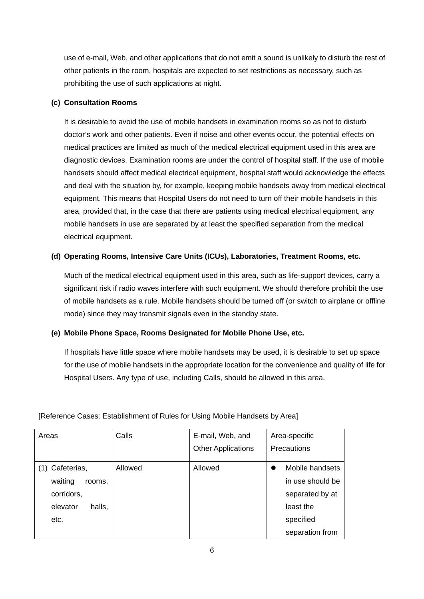use of e-mail, Web, and other applications that do not emit a sound is unlikely to disturb the rest of other patients in the room, hospitals are expected to set restrictions as necessary, such as prohibiting the use of such applications at night.

#### **(c) Consultation Rooms**

It is desirable to avoid the use of mobile handsets in examination rooms so as not to disturb doctor's work and other patients. Even if noise and other events occur, the potential effects on medical practices are limited as much of the medical electrical equipment used in this area are diagnostic devices. Examination rooms are under the control of hospital staff. If the use of mobile handsets should affect medical electrical equipment, hospital staff would acknowledge the effects and deal with the situation by, for example, keeping mobile handsets away from medical electrical equipment. This means that Hospital Users do not need to turn off their mobile handsets in this area, provided that, in the case that there are patients using medical electrical equipment, any mobile handsets in use are separated by at least the specified separation from the medical electrical equipment.

#### **(d) Operating Rooms, Intensive Care Units (ICUs), Laboratories, Treatment Rooms, etc.**

Much of the medical electrical equipment used in this area, such as life-support devices, carry a significant risk if radio waves interfere with such equipment. We should therefore prohibit the use of mobile handsets as a rule. Mobile handsets should be turned off (or switch to airplane or offline mode) since they may transmit signals even in the standby state.

#### **(e) Mobile Phone Space, Rooms Designated for Mobile Phone Use, etc.**

If hospitals have little space where mobile handsets may be used, it is desirable to set up space for the use of mobile handsets in the appropriate location for the convenience and quality of life for Hospital Users. Any type of use, including Calls, should be allowed in this area.

| Areas              | Calls   | E-mail, Web, and          | Area-specific    |
|--------------------|---------|---------------------------|------------------|
|                    |         | <b>Other Applications</b> | Precautions      |
| Cafeterias,        | Allowed | Allowed                   | Mobile handsets  |
| waiting<br>rooms.  |         |                           | in use should be |
| corridors,         |         |                           | separated by at  |
| elevator<br>halls, |         |                           | least the        |
| etc.               |         |                           | specified        |
|                    |         |                           | separation from  |

[Reference Cases: Establishment of Rules for Using Mobile Handsets by Area]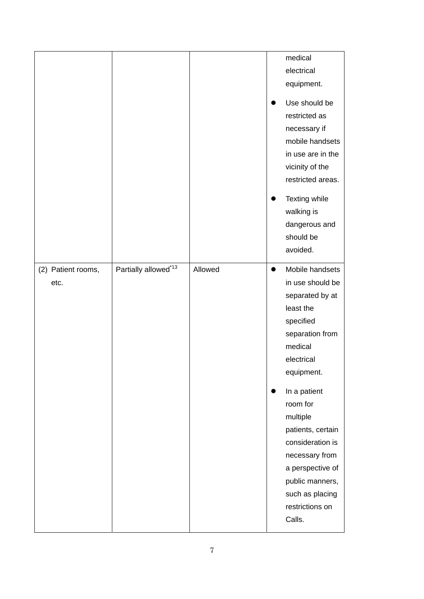|                    |                      |         |           | medical           |
|--------------------|----------------------|---------|-----------|-------------------|
|                    |                      |         |           | electrical        |
|                    |                      |         |           | equipment.        |
|                    |                      |         |           | Use should be     |
|                    |                      |         |           | restricted as     |
|                    |                      |         |           |                   |
|                    |                      |         |           | necessary if      |
|                    |                      |         |           | mobile handsets   |
|                    |                      |         |           | in use are in the |
|                    |                      |         |           | vicinity of the   |
|                    |                      |         |           | restricted areas. |
|                    |                      |         |           | Texting while     |
|                    |                      |         |           | walking is        |
|                    |                      |         |           | dangerous and     |
|                    |                      |         |           | should be         |
|                    |                      |         |           | avoided.          |
|                    |                      |         |           |                   |
| (2) Patient rooms, | Partially allowed*13 | Allowed | $\bullet$ | Mobile handsets   |
| etc.               |                      |         |           | in use should be  |
|                    |                      |         |           | separated by at   |
|                    |                      |         |           | least the         |
|                    |                      |         |           | specified         |
|                    |                      |         |           | separation from   |
|                    |                      |         |           | medical           |
|                    |                      |         |           | electrical        |
|                    |                      |         |           | equipment.        |
|                    |                      |         |           | In a patient      |
|                    |                      |         |           | room for          |
|                    |                      |         |           | multiple          |
|                    |                      |         |           | patients, certain |
|                    |                      |         |           | consideration is  |
|                    |                      |         |           | necessary from    |
|                    |                      |         |           | a perspective of  |
|                    |                      |         |           | public manners,   |
|                    |                      |         |           | such as placing   |
|                    |                      |         |           | restrictions on   |
|                    |                      |         |           |                   |
|                    |                      |         |           | Calls.            |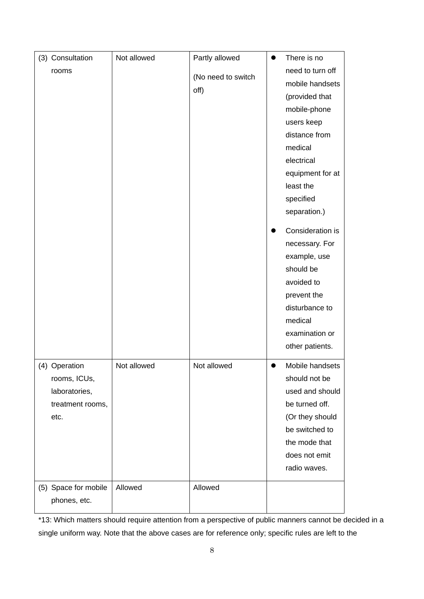| (3) Consultation     | Not allowed | Partly allowed             | $\bullet$ | There is no                         |
|----------------------|-------------|----------------------------|-----------|-------------------------------------|
| rooms                |             | (No need to switch<br>off) |           | need to turn off<br>mobile handsets |
|                      |             |                            |           | (provided that                      |
|                      |             |                            |           |                                     |
|                      |             |                            |           | mobile-phone                        |
|                      |             |                            |           | users keep                          |
|                      |             |                            |           | distance from                       |
|                      |             |                            |           | medical                             |
|                      |             |                            |           | electrical                          |
|                      |             |                            |           | equipment for at                    |
|                      |             |                            |           | least the                           |
|                      |             |                            |           | specified                           |
|                      |             |                            |           | separation.)                        |
|                      |             |                            |           | Consideration is                    |
|                      |             |                            |           | necessary. For                      |
|                      |             |                            |           | example, use                        |
|                      |             |                            |           | should be                           |
|                      |             |                            |           | avoided to                          |
|                      |             |                            |           | prevent the                         |
|                      |             |                            |           | disturbance to                      |
|                      |             |                            |           | medical                             |
|                      |             |                            |           | examination or                      |
|                      |             |                            |           | other patients.                     |
| (4) Operation        | Not allowed | Not allowed                |           | Mobile handsets                     |
| rooms, ICUs,         |             |                            |           | should not be                       |
| laboratories,        |             |                            |           | used and should                     |
| treatment rooms,     |             |                            |           | be turned off.                      |
| etc.                 |             |                            |           | (Or they should                     |
|                      |             |                            |           | be switched to                      |
|                      |             |                            |           |                                     |
|                      |             |                            |           | the mode that                       |
|                      |             |                            |           | does not emit                       |
|                      |             |                            |           | radio waves.                        |
| (5) Space for mobile | Allowed     | Allowed                    |           |                                     |
| phones, etc.         |             |                            |           |                                     |

\*13: Which matters should require attention from a perspective of public manners cannot be decided in a single uniform way. Note that the above cases are for reference only; specific rules are left to the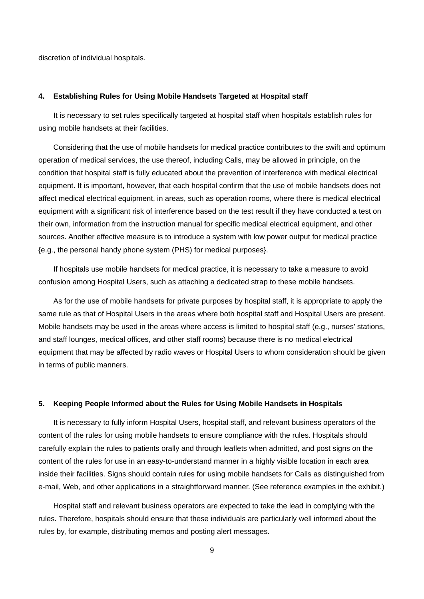discretion of individual hospitals.

#### **4. Establishing Rules for Using Mobile Handsets Targeted at Hospital staff**

It is necessary to set rules specifically targeted at hospital staff when hospitals establish rules for using mobile handsets at their facilities.

Considering that the use of mobile handsets for medical practice contributes to the swift and optimum operation of medical services, the use thereof, including Calls, may be allowed in principle, on the condition that hospital staff is fully educated about the prevention of interference with medical electrical equipment. It is important, however, that each hospital confirm that the use of mobile handsets does not affect medical electrical equipment, in areas, such as operation rooms, where there is medical electrical equipment with a significant risk of interference based on the test result if they have conducted a test on their own, information from the instruction manual for specific medical electrical equipment, and other sources. Another effective measure is to introduce a system with low power output for medical practice {e.g., the personal handy phone system (PHS) for medical purposes}.

If hospitals use mobile handsets for medical practice, it is necessary to take a measure to avoid confusion among Hospital Users, such as attaching a dedicated strap to these mobile handsets.

As for the use of mobile handsets for private purposes by hospital staff, it is appropriate to apply the same rule as that of Hospital Users in the areas where both hospital staff and Hospital Users are present. Mobile handsets may be used in the areas where access is limited to hospital staff (e.g., nurses' stations, and staff lounges, medical offices, and other staff rooms) because there is no medical electrical equipment that may be affected by radio waves or Hospital Users to whom consideration should be given in terms of public manners.

#### **5. Keeping People Informed about the Rules for Using Mobile Handsets in Hospitals**

It is necessary to fully inform Hospital Users, hospital staff, and relevant business operators of the content of the rules for using mobile handsets to ensure compliance with the rules. Hospitals should carefully explain the rules to patients orally and through leaflets when admitted, and post signs on the content of the rules for use in an easy-to-understand manner in a highly visible location in each area inside their facilities. Signs should contain rules for using mobile handsets for Calls as distinguished from e-mail, Web, and other applications in a straightforward manner. (See reference examples in the exhibit.)

Hospital staff and relevant business operators are expected to take the lead in complying with the rules. Therefore, hospitals should ensure that these individuals are particularly well informed about the rules by, for example, distributing memos and posting alert messages.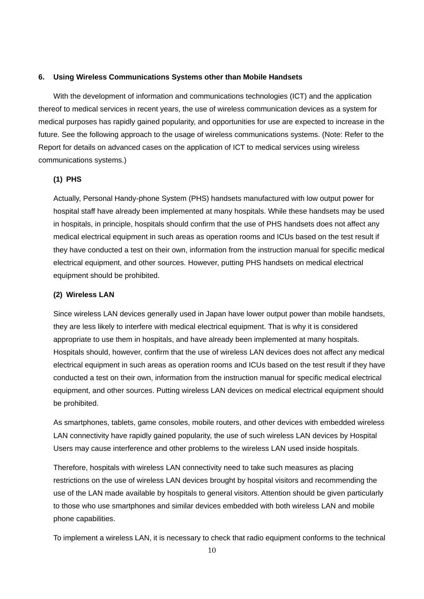#### **6. Using Wireless Communications Systems other than Mobile Handsets**

With the development of information and communications technologies (ICT) and the application thereof to medical services in recent years, the use of wireless communication devices as a system for medical purposes has rapidly gained popularity, and opportunities for use are expected to increase in the future. See the following approach to the usage of wireless communications systems. (Note: Refer to the Report for details on advanced cases on the application of ICT to medical services using wireless communications systems.)

#### **(1) PHS**

Actually, Personal Handy-phone System (PHS) handsets manufactured with low output power for hospital staff have already been implemented at many hospitals. While these handsets may be used in hospitals, in principle, hospitals should confirm that the use of PHS handsets does not affect any medical electrical equipment in such areas as operation rooms and ICUs based on the test result if they have conducted a test on their own, information from the instruction manual for specific medical electrical equipment, and other sources. However, putting PHS handsets on medical electrical equipment should be prohibited.

#### **(2) Wireless LAN**

Since wireless LAN devices generally used in Japan have lower output power than mobile handsets, they are less likely to interfere with medical electrical equipment. That is why it is considered appropriate to use them in hospitals, and have already been implemented at many hospitals. Hospitals should, however, confirm that the use of wireless LAN devices does not affect any medical electrical equipment in such areas as operation rooms and ICUs based on the test result if they have conducted a test on their own, information from the instruction manual for specific medical electrical equipment, and other sources. Putting wireless LAN devices on medical electrical equipment should be prohibited.

As smartphones, tablets, game consoles, mobile routers, and other devices with embedded wireless LAN connectivity have rapidly gained popularity, the use of such wireless LAN devices by Hospital Users may cause interference and other problems to the wireless LAN used inside hospitals.

Therefore, hospitals with wireless LAN connectivity need to take such measures as placing restrictions on the use of wireless LAN devices brought by hospital visitors and recommending the use of the LAN made available by hospitals to general visitors. Attention should be given particularly to those who use smartphones and similar devices embedded with both wireless LAN and mobile phone capabilities.

To implement a wireless LAN, it is necessary to check that radio equipment conforms to the technical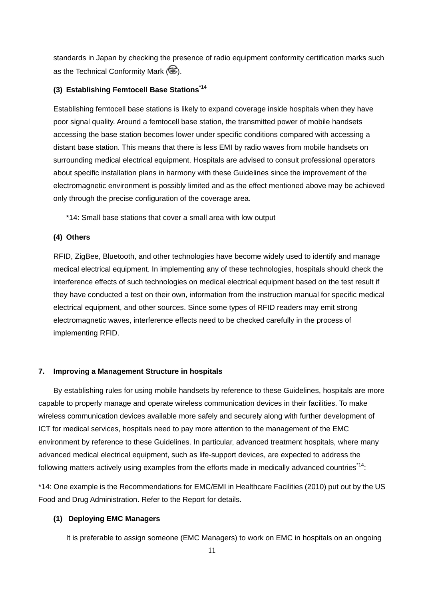standards in Japan by checking the presence of radio equipment conformity certification marks such as the Technical Conformity Mark  $\circledR$ .

#### **(3) Establishing Femtocell Base Stations\*14**

Establishing femtocell base stations is likely to expand coverage inside hospitals when they have poor signal quality. Around a femtocell base station, the transmitted power of mobile handsets accessing the base station becomes lower under specific conditions compared with accessing a distant base station. This means that there is less EMI by radio waves from mobile handsets on surrounding medical electrical equipment. Hospitals are advised to consult professional operators about specific installation plans in harmony with these Guidelines since the improvement of the electromagnetic environment is possibly limited and as the effect mentioned above may be achieved only through the precise configuration of the coverage area.

\*14: Small base stations that cover a small area with low output

#### **(4) Others**

RFID, ZigBee, Bluetooth, and other technologies have become widely used to identify and manage medical electrical equipment. In implementing any of these technologies, hospitals should check the interference effects of such technologies on medical electrical equipment based on the test result if they have conducted a test on their own, information from the instruction manual for specific medical electrical equipment, and other sources. Since some types of RFID readers may emit strong electromagnetic waves, interference effects need to be checked carefully in the process of implementing RFID.

#### **7. Improving a Management Structure in hospitals**

By establishing rules for using mobile handsets by reference to these Guidelines, hospitals are more capable to properly manage and operate wireless communication devices in their facilities. To make wireless communication devices available more safely and securely along with further development of ICT for medical services, hospitals need to pay more attention to the management of the EMC environment by reference to these Guidelines. In particular, advanced treatment hospitals, where many advanced medical electrical equipment, such as life-support devices, are expected to address the following matters actively using examples from the efforts made in medically advanced countries<sup>\*14</sup>:

\*14: One example is the Recommendations for EMC/EMI in Healthcare Facilities (2010) put out by the US Food and Drug Administration. Refer to the Report for details.

#### **(1) Deploying EMC Managers**

It is preferable to assign someone (EMC Managers) to work on EMC in hospitals on an ongoing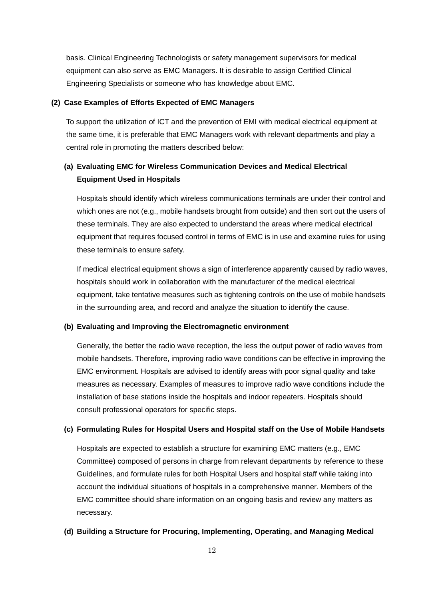basis. Clinical Engineering Technologists or safety management supervisors for medical equipment can also serve as EMC Managers. It is desirable to assign Certified Clinical Engineering Specialists or someone who has knowledge about EMC.

#### **(2) Case Examples of Efforts Expected of EMC Managers**

To support the utilization of ICT and the prevention of EMI with medical electrical equipment at the same time, it is preferable that EMC Managers work with relevant departments and play a central role in promoting the matters described below:

## **(a) Evaluating EMC for Wireless Communication Devices and Medical Electrical Equipment Used in Hospitals**

Hospitals should identify which wireless communications terminals are under their control and which ones are not (e.g., mobile handsets brought from outside) and then sort out the users of these terminals. They are also expected to understand the areas where medical electrical equipment that requires focused control in terms of EMC is in use and examine rules for using these terminals to ensure safety.

If medical electrical equipment shows a sign of interference apparently caused by radio waves, hospitals should work in collaboration with the manufacturer of the medical electrical equipment, take tentative measures such as tightening controls on the use of mobile handsets in the surrounding area, and record and analyze the situation to identify the cause.

#### **(b) Evaluating and Improving the Electromagnetic environment**

Generally, the better the radio wave reception, the less the output power of radio waves from mobile handsets. Therefore, improving radio wave conditions can be effective in improving the EMC environment. Hospitals are advised to identify areas with poor signal quality and take measures as necessary. Examples of measures to improve radio wave conditions include the installation of base stations inside the hospitals and indoor repeaters. Hospitals should consult professional operators for specific steps.

#### **(c) Formulating Rules for Hospital Users and Hospital staff on the Use of Mobile Handsets**

Hospitals are expected to establish a structure for examining EMC matters (e.g., EMC Committee) composed of persons in charge from relevant departments by reference to these Guidelines, and formulate rules for both Hospital Users and hospital staff while taking into account the individual situations of hospitals in a comprehensive manner. Members of the EMC committee should share information on an ongoing basis and review any matters as necessary.

#### **(d) Building a Structure for Procuring, Implementing, Operating, and Managing Medical**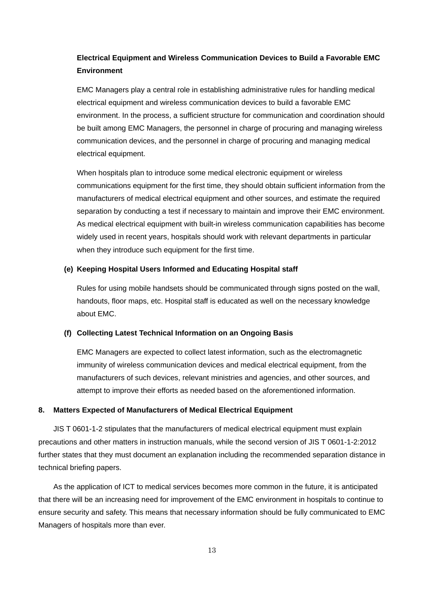### **Electrical Equipment and Wireless Communication Devices to Build a Favorable EMC Environment**

EMC Managers play a central role in establishing administrative rules for handling medical electrical equipment and wireless communication devices to build a favorable EMC environment. In the process, a sufficient structure for communication and coordination should be built among EMC Managers, the personnel in charge of procuring and managing wireless communication devices, and the personnel in charge of procuring and managing medical electrical equipment.

When hospitals plan to introduce some medical electronic equipment or wireless communications equipment for the first time, they should obtain sufficient information from the manufacturers of medical electrical equipment and other sources, and estimate the required separation by conducting a test if necessary to maintain and improve their EMC environment. As medical electrical equipment with built-in wireless communication capabilities has become widely used in recent years, hospitals should work with relevant departments in particular when they introduce such equipment for the first time.

#### **(e) Keeping Hospital Users Informed and Educating Hospital staff**

Rules for using mobile handsets should be communicated through signs posted on the wall, handouts, floor maps, etc. Hospital staff is educated as well on the necessary knowledge about EMC.

#### **(f) Collecting Latest Technical Information on an Ongoing Basis**

EMC Managers are expected to collect latest information, such as the electromagnetic immunity of wireless communication devices and medical electrical equipment, from the manufacturers of such devices, relevant ministries and agencies, and other sources, and attempt to improve their efforts as needed based on the aforementioned information.

#### **8. Matters Expected of Manufacturers of Medical Electrical Equipment**

JIS T 0601-1-2 stipulates that the manufacturers of medical electrical equipment must explain precautions and other matters in instruction manuals, while the second version of JIS T 0601-1-2:2012 further states that they must document an explanation including the recommended separation distance in technical briefing papers.

As the application of ICT to medical services becomes more common in the future, it is anticipated that there will be an increasing need for improvement of the EMC environment in hospitals to continue to ensure security and safety. This means that necessary information should be fully communicated to EMC Managers of hospitals more than ever.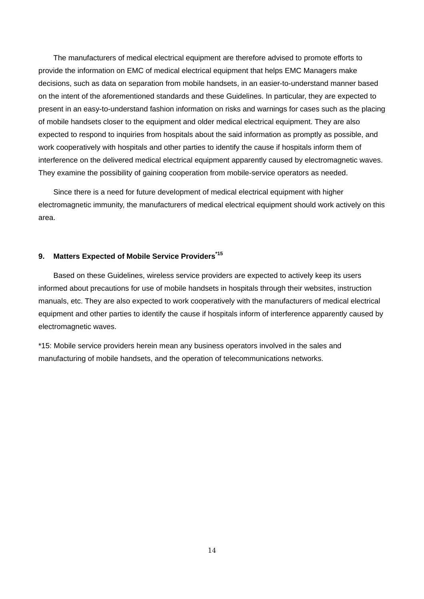The manufacturers of medical electrical equipment are therefore advised to promote efforts to provide the information on EMC of medical electrical equipment that helps EMC Managers make decisions, such as data on separation from mobile handsets, in an easier-to-understand manner based on the intent of the aforementioned standards and these Guidelines. In particular, they are expected to present in an easy-to-understand fashion information on risks and warnings for cases such as the placing of mobile handsets closer to the equipment and older medical electrical equipment. They are also expected to respond to inquiries from hospitals about the said information as promptly as possible, and work cooperatively with hospitals and other parties to identify the cause if hospitals inform them of interference on the delivered medical electrical equipment apparently caused by electromagnetic waves. They examine the possibility of gaining cooperation from mobile-service operators as needed.

Since there is a need for future development of medical electrical equipment with higher electromagnetic immunity, the manufacturers of medical electrical equipment should work actively on this area.

#### **9. Matters Expected of Mobile Service Providers\*15**

Based on these Guidelines, wireless service providers are expected to actively keep its users informed about precautions for use of mobile handsets in hospitals through their websites, instruction manuals, etc. They are also expected to work cooperatively with the manufacturers of medical electrical equipment and other parties to identify the cause if hospitals inform of interference apparently caused by electromagnetic waves.

\*15: Mobile service providers herein mean any business operators involved in the sales and manufacturing of mobile handsets, and the operation of telecommunications networks.